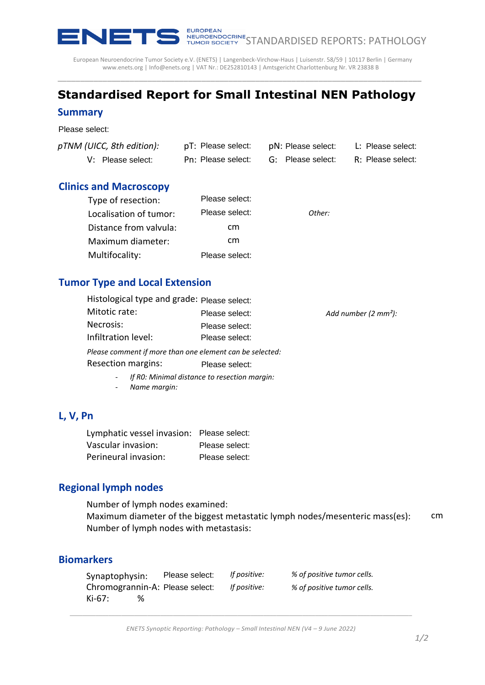

European Neuroendocrine Tumor Society e.V. (ENETS) | Langenbeck-Virchow-Haus | Luisenstr. 58/59 | 10117 Berlin | Germany www.enets.org | Info@enets.org | VAT Nr.: DE252810143 | Amtsgericht Charlottenburg Nr. VR 23838 B

# **Standardised Report for Small Intestinal NEN Pathology**

\_\_\_\_\_\_\_\_\_\_\_\_\_\_\_\_\_\_\_\_\_\_\_\_\_\_\_\_\_\_\_\_\_\_\_\_\_\_\_\_\_\_\_\_\_\_\_\_\_\_\_\_\_\_\_\_\_\_\_\_\_\_\_\_\_\_\_\_\_\_\_\_\_\_\_\_\_\_\_\_\_

#### **Summary**

Please select:

| pTNM (UICC, 8th edition): | pT: Please select: | pN: Please select: | L: Please select: |
|---------------------------|--------------------|--------------------|-------------------|
| V: Please select:         | Pn: Please select: | G: Please select:  | R: Please select: |

#### **Clinics and Macroscopy**

| Type of resection:     | Please select: |        |
|------------------------|----------------|--------|
| Localisation of tumor: | Please select: | Other: |
| Distance from valvula: | cm             |        |
| Maximum diameter:      | cm             |        |
| Multifocality:         | Please select: |        |

#### **Tumor Type and Local Extension**

| UICC, 8th edition):                                                                                                                                      |                | pT: Please select: |                            | pN: Please select: L: Please select: |
|----------------------------------------------------------------------------------------------------------------------------------------------------------|----------------|--------------------|----------------------------|--------------------------------------|
| V: Please select:                                                                                                                                        |                | Pn: Please select: | G: Please select:          | R: Please select:                    |
| and Macroscopy                                                                                                                                           |                |                    |                            |                                      |
| Type of resection:                                                                                                                                       |                | Please select:     |                            |                                      |
| Localisation of tumor:                                                                                                                                   |                | Please select:     | Other:                     |                                      |
| Distance from valvula:                                                                                                                                   |                | cm                 |                            |                                      |
| Maximum diameter:                                                                                                                                        |                | cm                 |                            |                                      |
| Multifocality:                                                                                                                                           |                | Please select:     |                            |                                      |
| r Type and Local Extension                                                                                                                               |                |                    |                            |                                      |
| Histological type and grade: Please select:                                                                                                              |                |                    |                            |                                      |
| Mitotic rate:                                                                                                                                            |                | Please select:     |                            | Add number (2 mm <sup>2</sup> ):     |
| Necrosis:                                                                                                                                                |                | Please select:     |                            |                                      |
| Infiltration level:                                                                                                                                      |                | Please select:     |                            |                                      |
| Please comment if more than one element can be selected:                                                                                                 |                |                    |                            |                                      |
| <b>Resection margins:</b>                                                                                                                                |                | Please select:     |                            |                                      |
| If RO: Minimal distance to resection margin:<br>Name margin:                                                                                             |                |                    |                            |                                      |
| n                                                                                                                                                        |                |                    |                            |                                      |
| Lymphatic vessel invasion: Please select:                                                                                                                |                |                    |                            |                                      |
| Vascular invasion:                                                                                                                                       |                | Please select:     |                            |                                      |
| Perineural invasion:                                                                                                                                     |                | Please select:     |                            |                                      |
| nal lymph nodes                                                                                                                                          |                |                    |                            |                                      |
| Number of lymph nodes examined:<br>Maximum diameter of the biggest metastatic lymph nodes/mesenteric mass(es):<br>Number of lymph nodes with metastasis: |                |                    |                            |                                      |
| ırkers                                                                                                                                                   |                |                    |                            |                                      |
| Synaptophysin:                                                                                                                                           | Please select: | If positive:       | % of positive tumor cells. |                                      |
| Chromogrannin-A: Please select:                                                                                                                          |                | If positive:       | % of positive tumor cells. |                                      |

- *If R0: Minimal distance to resection margin:*
- *Name margin:*

#### **L, V, Pn**

| Lymphatic vessel invasion: Please select: |                |
|-------------------------------------------|----------------|
| Vascular invasion:                        | Please select: |
| Perineural invasion:                      | Please select: |

#### **Regional lymph nodes**

 cm Number of lymph nodes examined: Maximum diameter of the biggest metastatic lymph nodes/mesenteric mass(es): Number of lymph nodes with metastasis:

### **Biomarkers**

| Synaptophysin: | Please select:                  | If positive: | % of positive tumor cells. |
|----------------|---------------------------------|--------------|----------------------------|
|                | Chromogrannin-A: Please select: | If positive: | % of positive tumor cells. |
| Ki-67:<br>%    |                                 |              |                            |